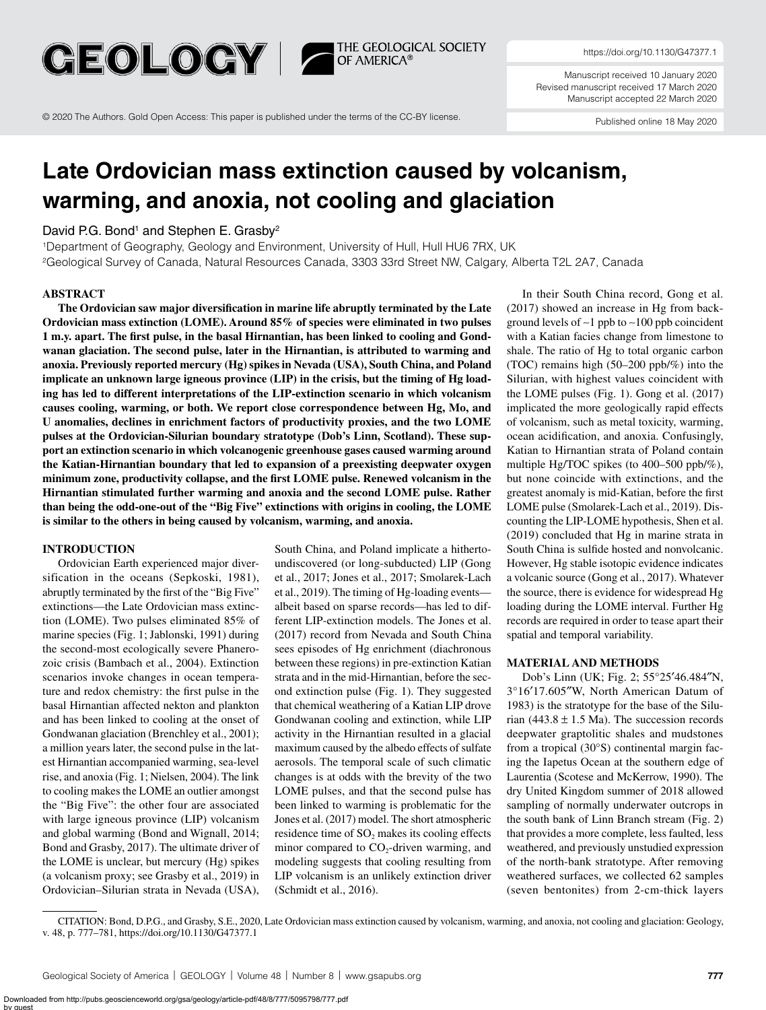**GEOLOGY 17** 

THE GEOLOGICAL SOCIETY<br>OF AMERICA®

© 2020 The Authors. Gold Open Access: This paper is published under the terms of the CC-BY license.

Manuscript received 10 January 2020 Revised manuscript received 17 March 2020 Manuscript accepted 22 March 2020

Published online 18 May 2020

# **Late Ordovician mass extinction caused by volcanism, warming, and anoxia, not cooling and glaciation**

## David P.G. Bond<sup>1</sup> and Stephen E. Grasby<sup>2</sup>

1Department of Geography, Geology and Environment, University of Hull, Hull HU6 7RX, UK 2Geological Survey of Canada, Natural Resources Canada, 3303 33rd Street NW, Calgary, Alberta T2L 2A7, Canada

#### **ABSTRACT**

**The Ordovician saw major diversification in marine life abruptly terminated by the Late Ordovician mass extinction (LOME). Around 85% of species were eliminated in two pulses 1 m.y. apart. The first pulse, in the basal Hirnantian, has been linked to cooling and Gondwanan glaciation. The second pulse, later in the Hirnantian, is attributed to warming and anoxia. Previously reported mercury (Hg) spikes in Nevada (USA), South China, and Poland implicate an unknown large igneous province (LIP) in the crisis, but the timing of Hg loading has led to different interpretations of the LIP-extinction scenario in which volcanism causes cooling, warming, or both. We report close correspondence between Hg, Mo, and U anomalies, declines in enrichment factors of productivity proxies, and the two LOME pulses at the Ordovician-Silurian boundary stratotype (Dob's Linn, Scotland). These support an extinction scenario in which volcanogenic greenhouse gases caused warming around the Katian-Hirnantian boundary that led to expansion of a preexisting deepwater oxygen minimum zone, productivity collapse, and the first LOME pulse. Renewed volcanism in the Hirnantian stimulated further warming and anoxia and the second LOME pulse. Rather than being the odd-one-out of the "Big Five" extinctions with origins in cooling, the LOME is similar to the others in being caused by volcanism, warming, and anoxia.**

## **INTRODUCTION**

Ordovician Earth experienced major diversification in the oceans (Sepkoski, 1981), abruptly terminated by the first of the "Big Five" extinctions—the Late Ordovician mass extinction (LOME). Two pulses eliminated 85% of marine species ([Fig. 1;](#page-1-0) Jablonski, 1991) during the second-most ecologically severe Phanerozoic crisis (Bambach et al., 2004). Extinction scenarios invoke changes in ocean temperature and redox chemistry: the first pulse in the basal Hirnantian affected nekton and plankton and has been linked to cooling at the onset of Gondwanan glaciation (Brenchley et al., 2001); a million years later, the second pulse in the latest Hirnantian accompanied warming, sea-level rise, and anoxia [\(Fig. 1](#page-1-0); Nielsen, 2004). The link to cooling makes the LOME an outlier amongst the "Big Five": the other four are associated with large igneous province (LIP) volcanism and global warming (Bond and Wignall, 2014; Bond and Grasby, 2017). The ultimate driver of the LOME is unclear, but mercury (Hg) spikes (a volcanism proxy; see Grasby et al., 2019) in Ordovician–Silurian strata in Nevada (USA),

South China, and Poland implicate a hithertoundiscovered (or long-subducted) LIP (Gong et al., 2017; Jones et al., 2017; Smolarek-Lach et al., 2019). The timing of Hg-loading events albeit based on sparse records—has led to different LIP-extinction models. The Jones et al. (2017) record from Nevada and South China sees episodes of Hg enrichment (diachronous between these regions) in pre-extinction Katian strata and in the mid-Hirnantian, before the second extinction pulse ([Fig. 1\)](#page-1-0). They suggested that chemical weathering of a Katian LIP drove Gondwanan cooling and extinction, while LIP activity in the Hirnantian resulted in a glacial maximum caused by the albedo effects of sulfate aerosols. The temporal scale of such climatic changes is at odds with the brevity of the two LOME pulses, and that the second pulse has been linked to warming is problematic for the Jones et al. (2017) model. The short atmospheric residence time of  $SO<sub>2</sub>$  makes its cooling effects minor compared to  $CO<sub>2</sub>$ -driven warming, and modeling suggests that cooling resulting from LIP volcanism is an unlikely extinction driver (Schmidt et al., 2016).

In their South China record, Gong et al. (2017) showed an increase in Hg from background levels of ∼1 ppb to ∼100 ppb coincident with a Katian facies change from limestone to shale. The ratio of Hg to total organic carbon (TOC) remains high (50–200 ppb/%) into the Silurian, with highest values coincident with the LOME pulses ([Fig. 1](#page-1-0)). Gong et al. (2017) implicated the more geologically rapid effects of volcanism, such as metal toxicity, warming, ocean acidification, and anoxia. Confusingly, Katian to Hirnantian strata of Poland contain multiple Hg/TOC spikes (to 400–500 ppb/%), but none coincide with extinctions, and the greatest anomaly is mid-Katian, before the first LOME pulse (Smolarek-Lach et al., 2019). Discounting the LIP-LOME hypothesis, Shen et al. (2019) concluded that Hg in marine strata in South China is sulfide hosted and nonvolcanic. However, Hg stable isotopic evidence indicates a volcanic source (Gong et al., 2017). Whatever the source, there is evidence for widespread Hg loading during the LOME interval. Further Hg records are required in order to tease apart their spatial and temporal variability.

#### **MATERIAL AND METHODS**

Dob's Linn (UK; [Fig. 2](#page-1-1); 55°25′46.484″N, 3°16′17.605″W, North American Datum of 1983) is the stratotype for the base of the Silurian  $(443.8 \pm 1.5 \text{ Ma})$ . The succession records deepwater graptolitic shales and mudstones from a tropical (30°S) continental margin facing the Iapetus Ocean at the southern edge of Laurentia (Scotese and McKerrow, 1990). The dry United Kingdom summer of 2018 allowed sampling of normally underwater outcrops in the south bank of Linn Branch stream ([Fig. 2](#page-1-1)) that provides a more complete, less faulted, less weathered, and previously unstudied expression of the north-bank stratotype. After removing weathered surfaces, we collected 62 samples (seven bentonites) from 2-cm-thick layers

CITATION: Bond, D.P.G., and Grasby, S.E., 2020, Late Ordovician mass extinction caused by volcanism, warming, and anoxia, not cooling and glaciation: Geology, v. 48, p. 777–781, https://doi.org/10.1130/G47377.1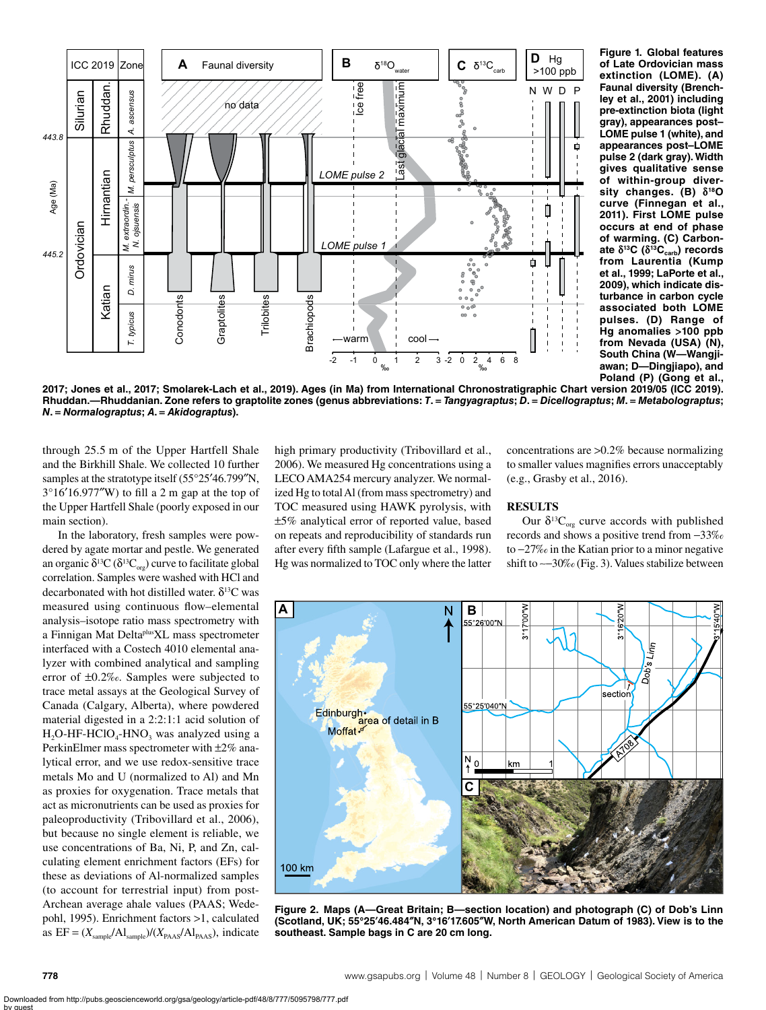

<span id="page-1-0"></span>**Figure 1. Global features of Late Ordovician mass extinction (LOME). (A) Faunal diversity (Brenchley et al., 2001) including pre-extinction biota (light gray), appearances post– LOME pulse 1 (white), and appearances post–LOME pulse 2 (dark gray). Width gives qualitative sense of within-group diversity changes. (B) δ18O curve (Finnegan et al., 2011). First LOME pulse occurs at end of phase of warming. (C) Carbonate δ13C (δ13Ccarb) records from Laurentia (Kump et al., 1999; LaPorte et al., 2009), which indicate disturbance in carbon cycle associated both LOME pulses. (D) Range of Hg anomalies >100 ppb from Nevada (USA) (N), South China (W—Wangjiawan; D—Dingjiapo), and Poland (P) (Gong et al.,** 

**2017; Jones et al., 2017; Smolarek-Lach et al., 2019). Ages (in Ma) from International Chronostratigraphic Chart version 2019/05 (ICC 2019).**  Rhuddan.—Rhuddanian. Zone refers to graptolite zones (genus abbreviations: T. = Tangyagraptus; D. = Dicellograptus; M. = Metabolograptus;

through 25.5 m of the Upper Hartfell Shale and the Birkhill Shale. We collected 10 further samples at the stratotype itself (55°25'46.799"N, 3°16′16.977″W) to fill a 2 m gap at the top of the Upper Hartfell Shale (poorly exposed in our main section).

In the laboratory, fresh samples were powdered by agate mortar and pestle. We generated an organic  $\delta^{13}C(\delta^{13}C_{\text{ore}})$  curve to facilitate global correlation. Samples were washed with HCl and decarbonated with hot distilled water.  $\delta^{13}$ C was measured using continuous flow–elemental analysis–isotope ratio mass spectrometry with a Finnigan Mat DeltaplusXL mass spectrometer interfaced with a Costech 4010 elemental analyzer with combined analytical and sampling error of ±0.2‰. Samples were subjected to trace metal assays at the Geological Survey of Canada (Calgary, Alberta), where powdered material digested in a 2:2:1:1 acid solution of  $H_2O$ -HF-HClO<sub>4</sub>-HNO<sub>3</sub> was analyzed using a PerkinElmer mass spectrometer with ±2% analytical error, and we use redox-sensitive trace metals Mo and U (normalized to Al) and Mn as proxies for oxygenation. Trace metals that act as micronutrients can be used as proxies for paleoproductivity (Tribovillard et al., 2006), but because no single element is reliable, we use concentrations of Ba, Ni, P, and Zn, calculating element enrichment factors (EFs) for these as deviations of Al-normalized samples (to account for terrestrial input) from post-Archean average ahale values (PAAS; Wedepohl, 1995). Enrichment factors >1, calculated as  $EF = (X_{\text{sample}}/A1_{\text{sample}})/(X_{\text{PAAS}}/A1_{\text{PAAS}})$ , indicate high primary productivity (Tribovillard et al., 2006). We measured Hg concentrations using a LECO AMA254 mercury analyzer. We normalized Hg to total Al (from mass spectrometry) and TOC measured using HAWK pyrolysis, with ±5% analytical error of reported value, based on repeats and reproducibility of standards run after every fifth sample (Lafargue et al., 1998). Hg was normalized to TOC only where the latter

concentrations are >0.2% because normalizing to smaller values magnifies errors unacceptably (e.g., Grasby et al., 2016).

## **RESULTS**

Our  $\delta^{13}C_{org}$  curve accords with published records and shows a positive trend from −33‰ to −27‰ in the Katian prior to a minor negative shift to ∼−30‰ [\(Fig. 3](#page-2-0)). Values stabilize between



<span id="page-1-1"></span>**Figure 2. Maps (A—Great Britain; B—section location) and photograph (C) of Dob's Linn (Scotland, UK; 55°25′46.484″N, 3°16′17.605″W, North American Datum of 1983). View is to the southeast. Sample bags in C are 20 cm long.**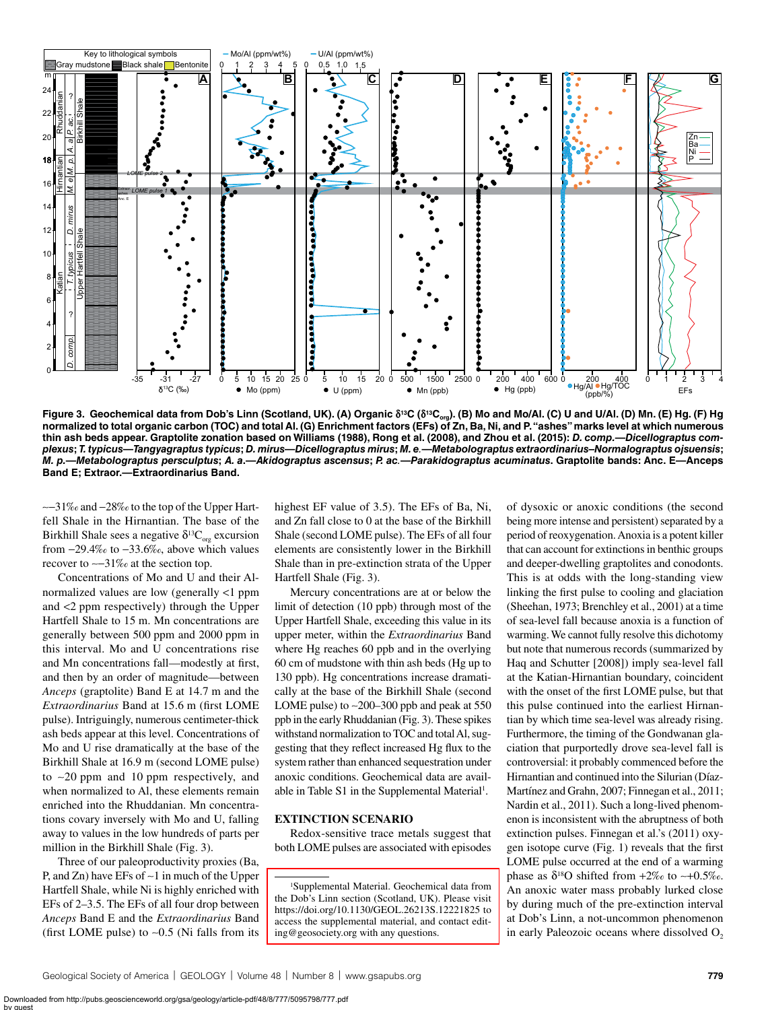

<span id="page-2-0"></span>**Figure 3. Geochemical data from Dob's Linn (Scotland, UK). (A) Organic δ13C (δ13Corg). (B) Mo and Mo/Al. (C) U and U/Al. (D) Mn. (E) Hg. (F) Hg normalized to total organic carbon (TOC) and total Al. (G) Enrichment factors (EFs) of Zn, Ba, Ni, and P. "ashes" marks level at which numerous thin ash beds appear. Graptolite zonation based on Williams (1988), Rong et al. (2008), and Zhou et al. (2015):** *D. comp.***—***Dicellograptus com*plexus; T. typicus—Tangyagraptus typicus; D. mirus—Dicellograptus mirus; M. e.—Metabolograptus extraordinarius–Normalograptus ojsuensis; *M. p.***—***Metabolograptus persculptus***;** *A. a***.—***Akidograptus ascensus***;** *P. ac.***—***Parakidograptus acuminatus***. Graptolite bands: Anc. E—Anceps Band E; Extraor.—Extraordinarius Band.**

∼−31‰ and −28‰ to the top of the Upper Hartfell Shale in the Hirnantian. The base of the Birkhill Shale sees a negative  $\delta^{13}C_{\text{org}}$  excursion from −29.4‰ to −33.6‰, above which values recover to ∼−31‰ at the section top.

Concentrations of Mo and U and their Alnormalized values are low (generally <1 ppm and <2 ppm respectively) through the Upper Hartfell Shale to 15 m. Mn concentrations are generally between 500 ppm and 2000 ppm in this interval. Mo and U concentrations rise and Mn concentrations fall—modestly at first, and then by an order of magnitude—between *Anceps* (graptolite) Band E at 14.7 m and the *Extraordinarius* Band at 15.6 m (first LOME pulse). Intriguingly, numerous centimeter-thick ash beds appear at this level. Concentrations of Mo and U rise dramatically at the base of the Birkhill Shale at 16.9 m (second LOME pulse) to ∼20 ppm and 10 ppm respectively, and when normalized to Al, these elements remain enriched into the Rhuddanian. Mn concentrations covary inversely with Mo and U, falling away to values in the low hundreds of parts per million in the Birkhill Shale [\(Fig. 3](#page-2-0)).

Three of our paleoproductivity proxies (Ba, P, and Zn) have EFs of ∼1 in much of the Upper Hartfell Shale, while Ni is highly enriched with EFs of 2–3.5. The EFs of all four drop between *Anceps* Band E and the *Extraordinarius* Band (first LOME pulse) to ∼0.5 (Ni falls from its highest EF value of 3.5). The EFs of Ba, Ni, and Zn fall close to 0 at the base of the Birkhill Shale (second LOME pulse). The EFs of all four elements are consistently lower in the Birkhill Shale than in pre-extinction strata of the Upper Hartfell Shale [\(Fig. 3](#page-2-0)).

Mercury concentrations are at or below the limit of detection (10 ppb) through most of the Upper Hartfell Shale, exceeding this value in its upper meter, within the *Extraordinarius* Band where Hg reaches 60 ppb and in the overlying 60 cm of mudstone with thin ash beds (Hg up to 130 ppb). Hg concentrations increase dramatically at the base of the Birkhill Shale (second LOME pulse) to ∼200–300 ppb and peak at 550 ppb in the early Rhuddanian [\(Fig. 3](#page-2-0)). These spikes withstand normalization to TOC and total Al, suggesting that they reflect increased Hg flux to the system rather than enhanced sequestration under anoxic conditions. Geochemical data are avail-able in Table S[1](#page-2-1) in the Supplemental Material<sup>1</sup>.

## **EXTINCTION SCENARIO**

Redox-sensitive trace metals suggest that both LOME pulses are associated with episodes of dysoxic or anoxic conditions (the second being more intense and persistent) separated by a period of reoxygenation. Anoxia is a potent killer that can account for extinctions in benthic groups and deeper-dwelling graptolites and conodonts. This is at odds with the long-standing view linking the first pulse to cooling and glaciation (Sheehan, 1973; Brenchley et al., 2001) at a time of sea-level fall because anoxia is a function of warming. We cannot fully resolve this dichotomy but note that numerous records (summarized by Haq and Schutter [2008]) imply sea-level fall at the Katian-Hirnantian boundary, coincident with the onset of the first LOME pulse, but that this pulse continued into the earliest Hirnantian by which time sea-level was already rising. Furthermore, the timing of the Gondwanan glaciation that purportedly drove sea-level fall is controversial: it probably commenced before the Hirnantian and continued into the Silurian (Díaz-Martínez and Grahn, 2007; Finnegan et al., 2011; Nardin et al., 2011). Such a long-lived phenomenon is inconsistent with the abruptness of both extinction pulses. Finnegan et al.'s (2011) oxygen isotope curve ([Fig. 1\)](#page-1-0) reveals that the first LOME pulse occurred at the end of a warming phase as  $\delta^{18}O$  shifted from +2‰ to ~+0.5‰. An anoxic water mass probably lurked close by during much of the pre-extinction interval at Dob's Linn, a not-uncommon phenomenon in early Paleozoic oceans where dissolved  $O<sub>2</sub>$ 

<span id="page-2-1"></span><sup>1</sup> Supplemental Material. Geochemical data from the Dob's Linn section (Scotland, UK). Please visit [https://doi.org/10.1130/GEOL.26213S.12221825 to](https://doi.org/10.1130/GEOL.26213S.12221825)  access the supplemental material, and contact editing@geosociety.org with any questions.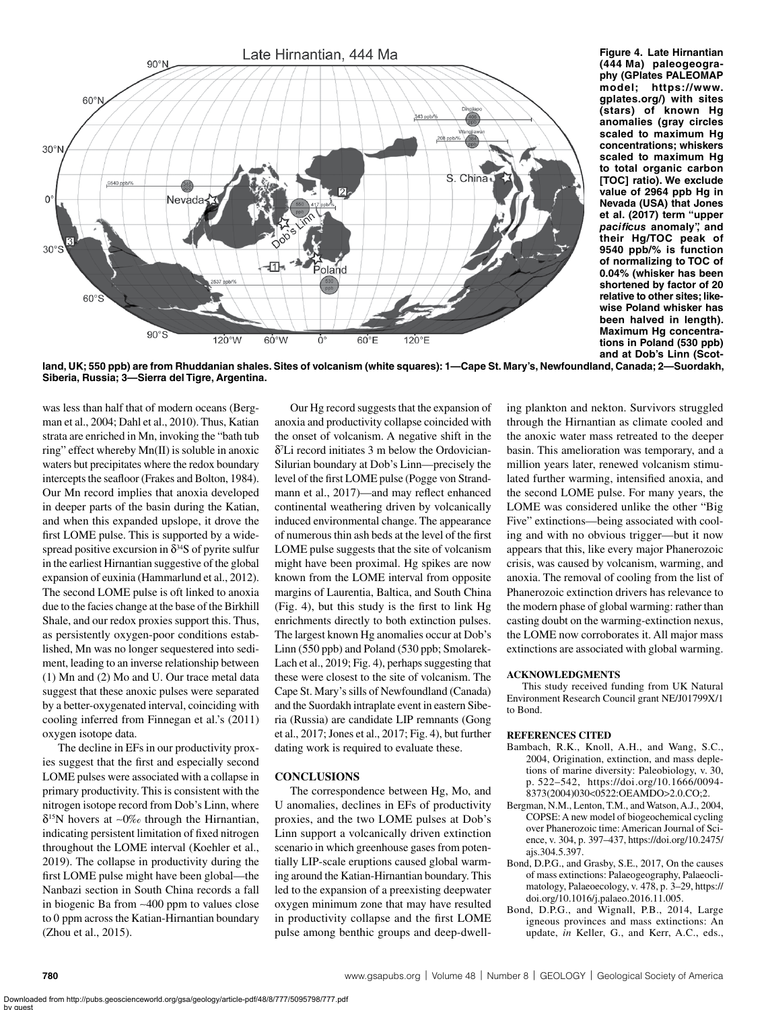

<span id="page-3-0"></span>**Figure 4. Late Hirnantian (444 Ma) paleogeography (GPlates PALEOMAP model; [https://www.](https://www.gplates.org/) [gplates.org/](https://www.gplates.org/)) with sites (stars) of known Hg anomalies (gray circles scaled to maximum Hg concentrations; whiskers scaled to maximum Hg to total organic carbon [TOC] ratio). We exclude value of 2964 ppb Hg in Nevada (USA) that Jones et al. (2017) term "upper**  *pacificus* **anomaly", and their Hg/TOC peak of 9540 ppb/% is function of normalizing to TOC of 0.04% (whisker has been shortened by factor of 20 relative to other sites; likewise Poland whisker has been halved in length). Maximum Hg concentrations in Poland (530 ppb) and at Dob's Linn (Scot-**

**land, UK; 550 ppb) are from Rhuddanian shales. Sites of volcanism (white squares): 1—Cape St. Mary's, Newfoundland, Canada; 2—Suordakh, Siberia, Russia; 3—Sierra del Tigre, Argentina.**

was less than half that of modern oceans (Bergman et al., 2004; Dahl et al., 2010). Thus, Katian strata are enriched in Mn, invoking the "bath tub ring" effect whereby Mn(II) is soluble in anoxic waters but precipitates where the redox boundary intercepts the seafloor (Frakes and Bolton, 1984). Our Mn record implies that anoxia developed in deeper parts of the basin during the Katian, and when this expanded upslope, it drove the first LOME pulse. This is supported by a widespread positive excursion in  $\delta^{34}S$  of pyrite sulfur in the earliest Hirnantian suggestive of the global expansion of euxinia (Hammarlund et al., 2012). The second LOME pulse is oft linked to anoxia due to the facies change at the base of the Birkhill Shale, and our redox proxies support this. Thus, as persistently oxygen-poor conditions established, Mn was no longer sequestered into sediment, leading to an inverse relationship between (1) Mn and (2) Mo and U. Our trace metal data suggest that these anoxic pulses were separated by a better-oxygenated interval, coinciding with cooling inferred from Finnegan et al.'s (2011) oxygen isotope data.

The decline in EFs in our productivity proxies suggest that the first and especially second LOME pulses were associated with a collapse in primary productivity. This is consistent with the nitrogen isotope record from Dob's Linn, where δ15N hovers at ∼0‰ through the Hirnantian, indicating persistent limitation of fixed nitrogen throughout the LOME interval (Koehler et al., 2019). The collapse in productivity during the first LOME pulse might have been global—the Nanbazi section in South China records a fall in biogenic Ba from ∼400 ppm to values close to 0 ppm across the Katian-Hirnantian boundary (Zhou et al., 2015).

Our Hg record suggests that the expansion of anoxia and productivity collapse coincided with the onset of volcanism. A negative shift in the δ7 Li record initiates 3 m below the Ordovician-Silurian boundary at Dob's Linn—precisely the level of the first LOME pulse (Pogge von Strandmann et al., 2017)—and may reflect enhanced continental weathering driven by volcanically induced environmental change. The appearance of numerous thin ash beds at the level of the first LOME pulse suggests that the site of volcanism might have been proximal. Hg spikes are now known from the LOME interval from opposite margins of Laurentia, Baltica, and South China [\(Fig. 4](#page-3-0)), but this study is the first to link Hg enrichments directly to both extinction pulses. The largest known Hg anomalies occur at Dob's Linn (550 ppb) and Poland (530 ppb; Smolarek-Lach et al., 2019; [Fig. 4\)](#page-3-0), perhaps suggesting that these were closest to the site of volcanism. The Cape St. Mary's sills of Newfoundland (Canada) and the Suordakh intraplate event in eastern Siberia (Russia) are candidate LIP remnants (Gong et al., 2017; Jones et al., 2017; [Fig. 4\)](#page-3-0), but further dating work is required to evaluate these.

### **CONCLUSIONS**

The correspondence between Hg, Mo, and U anomalies, declines in EFs of productivity proxies, and the two LOME pulses at Dob's Linn support a volcanically driven extinction scenario in which greenhouse gases from potentially LIP-scale eruptions caused global warming around the Katian-Hirnantian boundary. This led to the expansion of a preexisting deepwater oxygen minimum zone that may have resulted in productivity collapse and the first LOME pulse among benthic groups and deep-dwelling plankton and nekton. Survivors struggled through the Hirnantian as climate cooled and the anoxic water mass retreated to the deeper basin. This amelioration was temporary, and a million years later, renewed volcanism stimulated further warming, intensified anoxia, and the second LOME pulse. For many years, the LOME was considered unlike the other "Big Five" extinctions—being associated with cooling and with no obvious trigger—but it now appears that this, like every major Phanerozoic crisis, was caused by volcanism, warming, and anoxia. The removal of cooling from the list of Phanerozoic extinction drivers has relevance to the modern phase of global warming: rather than casting doubt on the warming-extinction nexus, the LOME now corroborates it. All major mass extinctions are associated with global warming.

#### **ACKNOWLEDGMENTS**

This study received funding from UK Natural Environment Research Council grant NE/J01799X/1 to Bond.

#### **REFERENCES CITED**

- Bambach, R.K., Knoll, A.H., and Wang, S.C., 2004, Origination, extinction, and mass depletions of marine diversity: Paleobiology, v. 30, p. 522–542, [https://doi.org/10.1666/0094-](https://doi.org/10.1666/0094-8373(2004)030<0522:OEAMDO>2.0.CO;2) 8373(2004)030<[0522:OEAMDO](https://doi.org/10.1666/0094-8373(2004)030<0522:OEAMDO>2.0.CO;2)>2.0.CO;2.
- Bergman, N.M., Lenton, T.M., and Watson, A.J., 2004, COPSE: A new model of biogeochemical cycling over Phanerozoic time: American Journal of Science, v. 304, p. 397–437, [https://doi.org/10.2475/](https://doi.org/10.2475/ajs.304.5.397) [ajs.304.5.397.](https://doi.org/10.2475/ajs.304.5.397)
- Bond, D.P.G., and Grasby, S.E., 2017, On the causes of mass extinctions: Palaeogeography, Palaeoclimatology, Palaeoecology, v. 478, p. 3–29, [https://](https://doi.org/10.1016/j.palaeo.2016.11.005) [doi.org/10.1016/j.palaeo.2016.11.005](https://doi.org/10.1016/j.palaeo.2016.11.005).
- Bond, D.P.G., and Wignall, P.B., 2014, Large igneous provinces and mass extinctions: An update, *in* Keller, G., and Kerr, A.C., eds.,